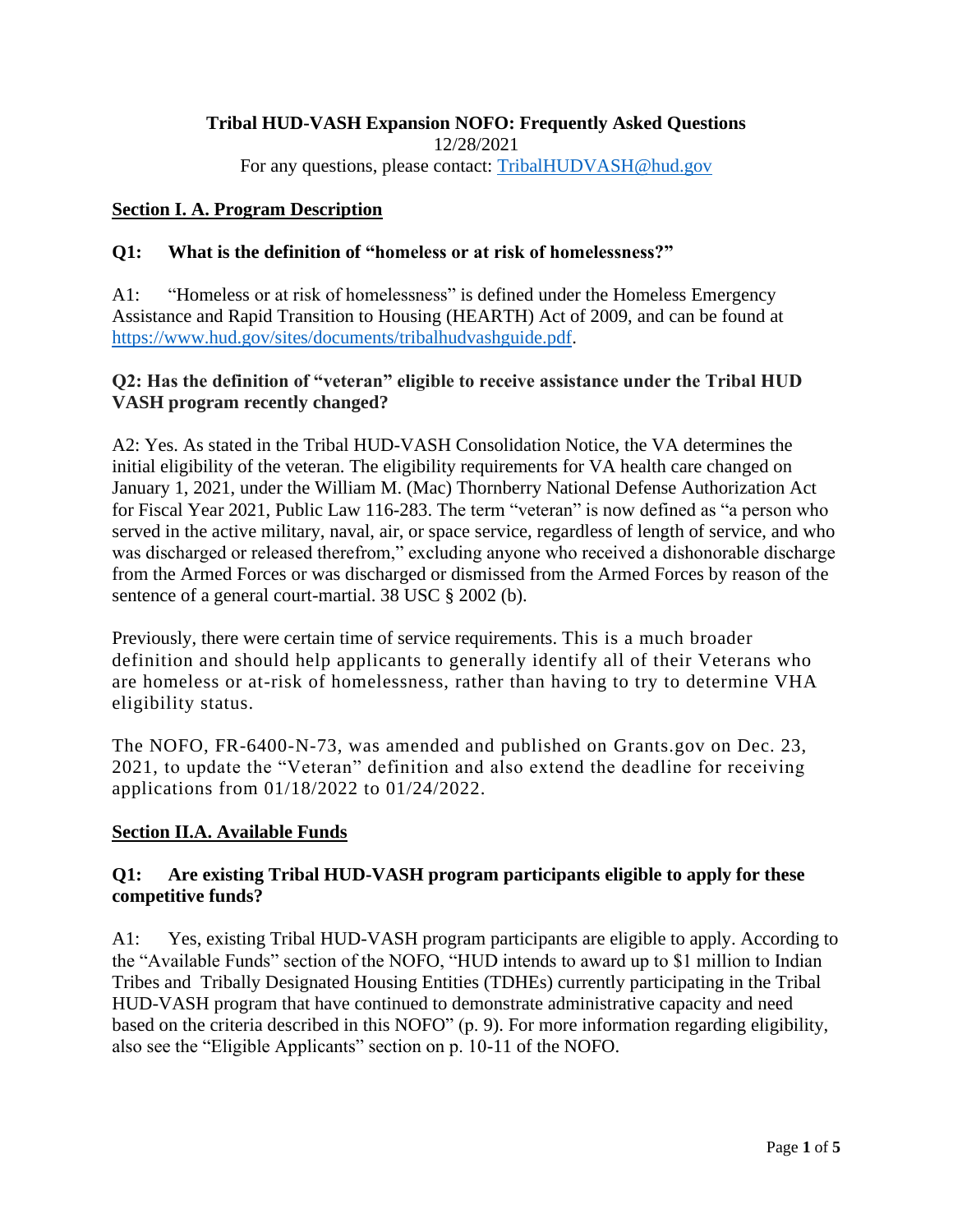# **Tribal HUD-VASH Expansion NOFO: Frequently Asked Questions**

12/28/2021

For any questions, please contact: [TribalHUDVASH@hud.gov](mailto:TribalHUDVASH@hud.gov)

### **Section I. A. Program Description**

### **Q1: What is the definition of "homeless or at risk of homelessness?"**

A1: "Homeless or at risk of homelessness" is defined under the Homeless Emergency Assistance and Rapid Transition to Housing (HEARTH) Act of 2009, and can be found at [https://www.hud.gov/sites/documents/tribalhudvashguide.pdf.](https://www.hud.gov/sites/documents/tribalhudvashguide.pdf)

### **Q2: Has the definition of "veteran" eligible to receive assistance under the Tribal HUD VASH program recently changed?**

A2: Yes. As stated in the Tribal HUD-VASH Consolidation Notice, the VA determines the initial eligibility of the veteran. The eligibility requirements for VA health care changed on January 1, 2021, under the William M. (Mac) Thornberry National Defense Authorization Act for Fiscal Year 2021, Public Law 116-283. The term "veteran" is now defined as "a person who served in the active military, naval, air, or space service, regardless of length of service, and who was discharged or released therefrom," excluding anyone who received a dishonorable discharge from the Armed Forces or was discharged or dismissed from the Armed Forces by reason of the sentence of a general court-martial. 38 USC § 2002 (b).

Previously, there were certain time of service requirements. This is a much broader definition and should help applicants to generally identify all of their Veterans who are homeless or at-risk of homelessness, rather than having to try to determine VHA eligibility status.

The NOFO, FR-6400-N-73, was amended and published on Grants.gov on Dec. 23, 2021, to update the "Veteran" definition and also extend the deadline for receiving applications from 01/18/2022 to 01/24/2022.

#### **Section II.A. Available Funds**

### **Q1: Are existing Tribal HUD-VASH program participants eligible to apply for these competitive funds?**

A1: Yes, existing Tribal HUD-VASH program participants are eligible to apply. According to the "Available Funds" section of the NOFO, "HUD intends to award up to \$1 million to Indian Tribes and Tribally Designated Housing Entities (TDHEs) currently participating in the Tribal HUD-VASH program that have continued to demonstrate administrative capacity and need based on the criteria described in this NOFO" (p. 9). For more information regarding eligibility, also see the "Eligible Applicants" section on p. 10-11 of the NOFO.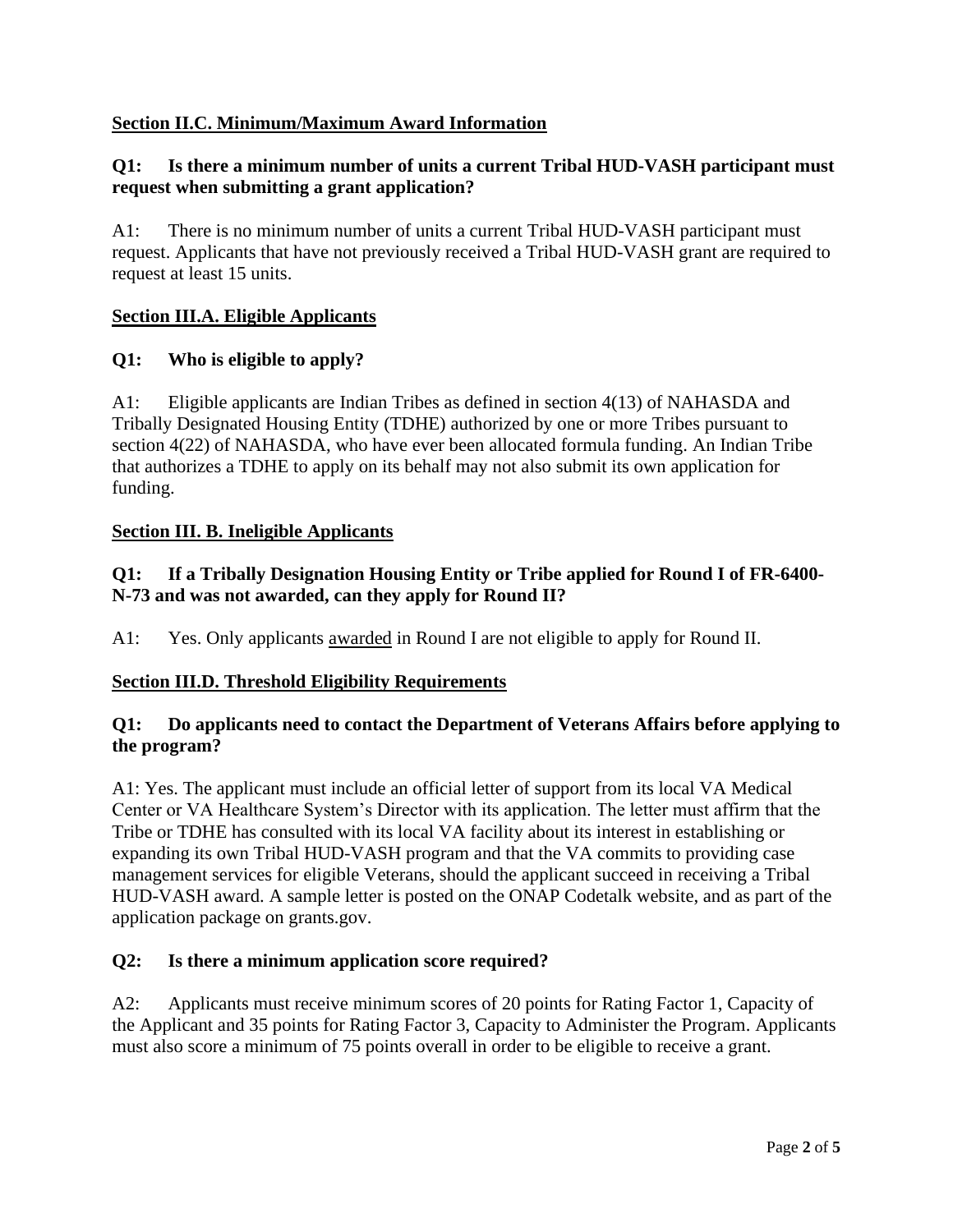# **Section II.C. Minimum/Maximum Award Information**

# **Q1: Is there a minimum number of units a current Tribal HUD-VASH participant must request when submitting a grant application?**

A1: There is no minimum number of units a current Tribal HUD-VASH participant must request. Applicants that have not previously received a Tribal HUD-VASH grant are required to request at least 15 units.

# **Section III.A. Eligible Applicants**

# **Q1: Who is eligible to apply?**

A1: Eligible applicants are Indian Tribes as defined in section 4(13) of NAHASDA and Tribally Designated Housing Entity (TDHE) authorized by one or more Tribes pursuant to section 4(22) of NAHASDA, who have ever been allocated formula funding. An Indian Tribe that authorizes a TDHE to apply on its behalf may not also submit its own application for funding.

#### **Section III. B. Ineligible Applicants**

# **Q1: If a Tribally Designation Housing Entity or Tribe applied for Round I of FR-6400- N-73 and was not awarded, can they apply for Round II?**

A1: Yes. Only applicants awarded in Round I are not eligible to apply for Round II.

# **Section III.D. Threshold Eligibility Requirements**

### **Q1: Do applicants need to contact the Department of Veterans Affairs before applying to the program?**

A1: Yes. The applicant must include an official letter of support from its local VA Medical Center or VA Healthcare System's Director with its application. The letter must affirm that the Tribe or TDHE has consulted with its local VA facility about its interest in establishing or expanding its own Tribal HUD-VASH program and that the VA commits to providing case management services for eligible Veterans, should the applicant succeed in receiving a Tribal HUD-VASH award. A sample letter is posted on the ONAP Codetalk website, and as part of the application package on grants.gov.

#### **Q2: Is there a minimum application score required?**

A2: Applicants must receive minimum scores of 20 points for Rating Factor 1, Capacity of the Applicant and 35 points for Rating Factor 3, Capacity to Administer the Program. Applicants must also score a minimum of 75 points overall in order to be eligible to receive a grant.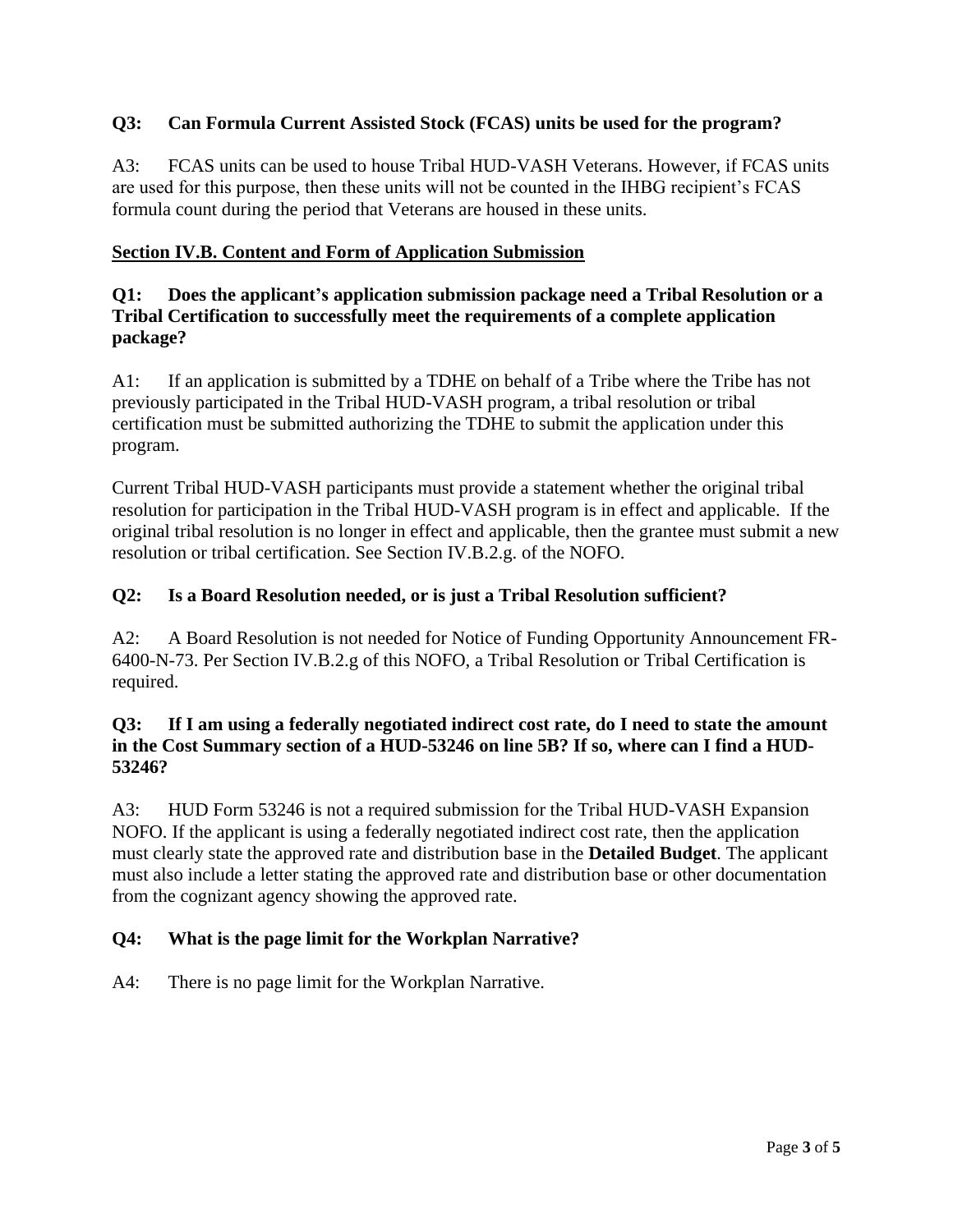# **Q3: Can Formula Current Assisted Stock (FCAS) units be used for the program?**

A3: FCAS units can be used to house Tribal HUD-VASH Veterans. However, if FCAS units are used for this purpose, then these units will not be counted in the IHBG recipient's FCAS formula count during the period that Veterans are housed in these units.

# **Section IV.B. Content and Form of Application Submission**

# **Q1: Does the applicant's application submission package need a Tribal Resolution or a Tribal Certification to successfully meet the requirements of a complete application package?**

A1: If an application is submitted by a TDHE on behalf of a Tribe where the Tribe has not previously participated in the Tribal HUD-VASH program, a tribal resolution or tribal certification must be submitted authorizing the TDHE to submit the application under this program.

Current Tribal HUD-VASH participants must provide a statement whether the original tribal resolution for participation in the Tribal HUD-VASH program is in effect and applicable. If the original tribal resolution is no longer in effect and applicable, then the grantee must submit a new resolution or tribal certification. See Section IV.B.2.g. of the NOFO.

# **Q2: Is a Board Resolution needed, or is just a Tribal Resolution sufficient?**

A2: A Board Resolution is not needed for Notice of Funding Opportunity Announcement FR-6400-N-73. Per Section IV.B.2.g of this NOFO, a Tribal Resolution or Tribal Certification is required.

### **Q3: If I am using a federally negotiated indirect cost rate, do I need to state the amount in the Cost Summary section of a HUD-53246 on line 5B? If so, where can I find a HUD-53246?**

A3: HUD Form 53246 is not a required submission for the Tribal HUD-VASH Expansion NOFO. If the applicant is using a federally negotiated indirect cost rate, then the application must clearly state the approved rate and distribution base in the **Detailed Budget**. The applicant must also include a letter stating the approved rate and distribution base or other documentation from the cognizant agency showing the approved rate.

# **Q4: What is the page limit for the Workplan Narrative?**

A4: There is no page limit for the Workplan Narrative.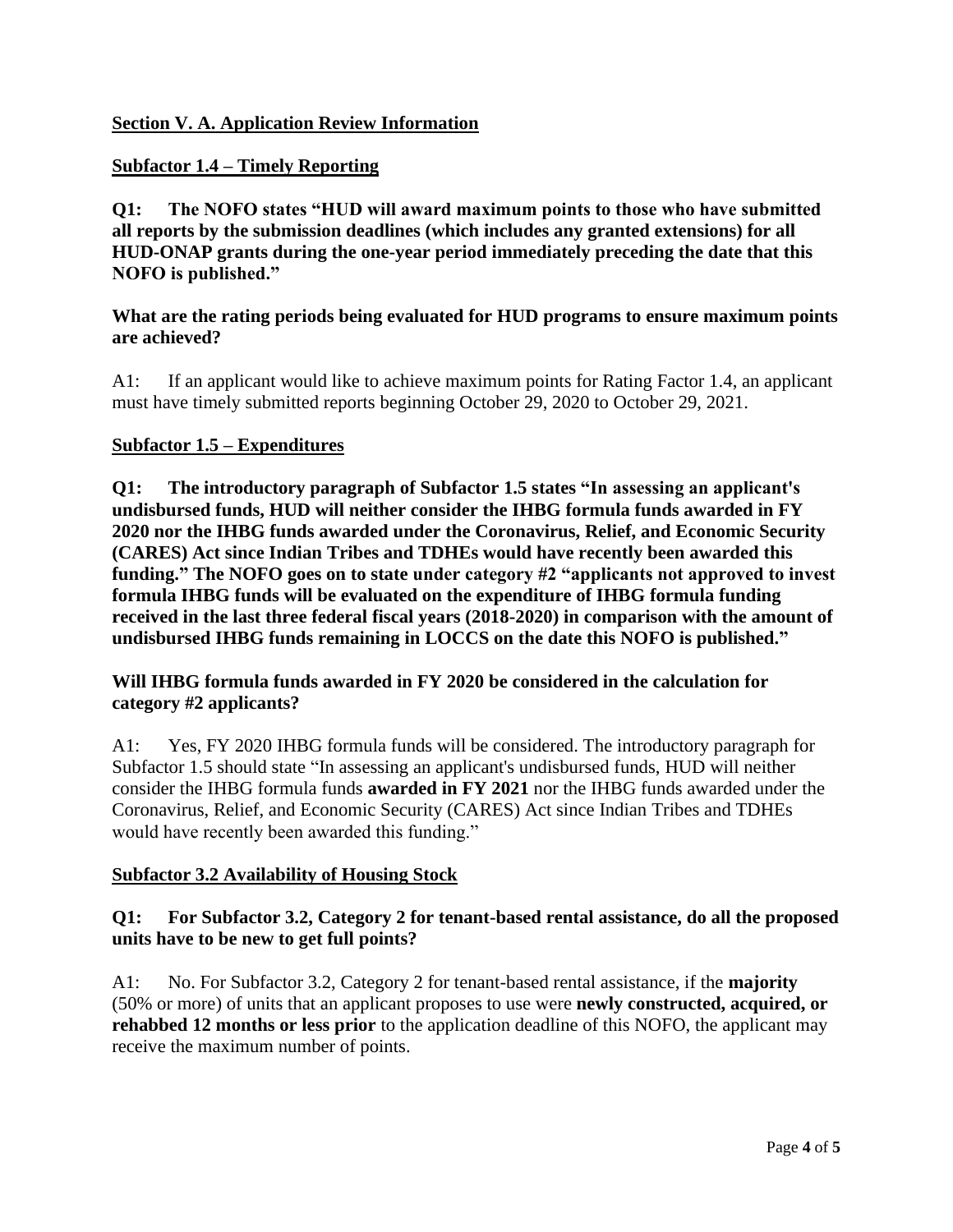## **Subfactor 1.4 – Timely Reporting**

**Q1: The NOFO states "HUD will award maximum points to those who have submitted all reports by the submission deadlines (which includes any granted extensions) for all HUD-ONAP grants during the one-year period immediately preceding the date that this NOFO is published."** 

#### **What are the rating periods being evaluated for HUD programs to ensure maximum points are achieved?**

A1: If an applicant would like to achieve maximum points for Rating Factor 1.4, an applicant must have timely submitted reports beginning October 29, 2020 to October 29, 2021.

### **Subfactor 1.5 – Expenditures**

**Q1: The introductory paragraph of Subfactor 1.5 states "In assessing an applicant's undisbursed funds, HUD will neither consider the IHBG formula funds awarded in FY 2020 nor the IHBG funds awarded under the Coronavirus, Relief, and Economic Security (CARES) Act since Indian Tribes and TDHEs would have recently been awarded this funding." The NOFO goes on to state under category #2 "applicants not approved to invest formula IHBG funds will be evaluated on the expenditure of IHBG formula funding received in the last three federal fiscal years (2018-2020) in comparison with the amount of undisbursed IHBG funds remaining in LOCCS on the date this NOFO is published."**

# **Will IHBG formula funds awarded in FY 2020 be considered in the calculation for category #2 applicants?**

A1: Yes, FY 2020 IHBG formula funds will be considered. The introductory paragraph for Subfactor 1.5 should state "In assessing an applicant's undisbursed funds, HUD will neither consider the IHBG formula funds **awarded in FY 2021** nor the IHBG funds awarded under the Coronavirus, Relief, and Economic Security (CARES) Act since Indian Tribes and TDHEs would have recently been awarded this funding."

#### **Subfactor 3.2 Availability of Housing Stock**

### **Q1: For Subfactor 3.2, Category 2 for tenant-based rental assistance, do all the proposed units have to be new to get full points?**

A1: No. For Subfactor 3.2, Category 2 for tenant-based rental assistance, if the **majority** (50% or more) of units that an applicant proposes to use were **newly constructed, acquired, or rehabbed 12 months or less prior** to the application deadline of this NOFO, the applicant may receive the maximum number of points.